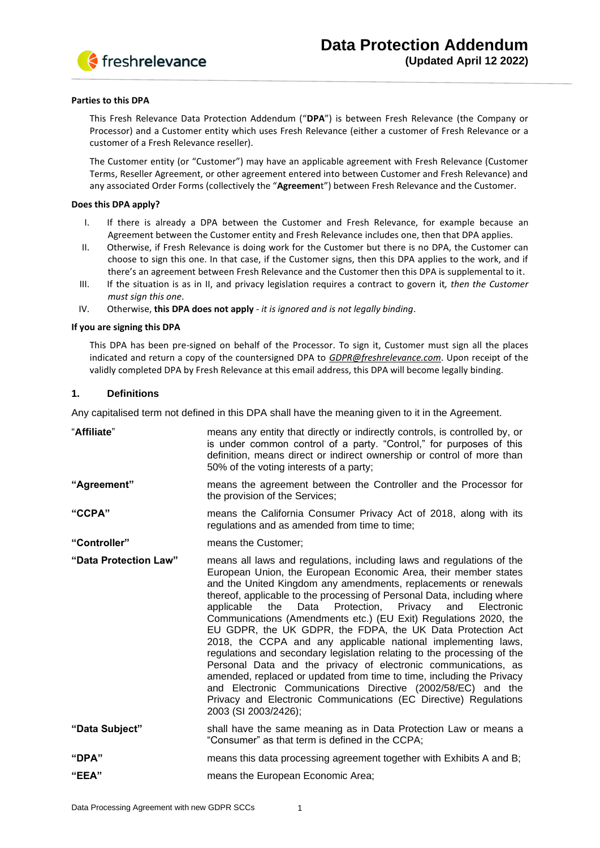

#### **Parties to this DPA**

This Fresh Relevance Data Protection Addendum ("**DPA**") is between Fresh Relevance (the Company or Processor) and a Customer entity which uses Fresh Relevance (either a customer of Fresh Relevance or a customer of a Fresh Relevance reseller).

The Customer entity (or "Customer") may have an applicable agreement with Fresh Relevance (Customer Terms, Reseller Agreement, or other agreement entered into between Customer and Fresh Relevance) and any associated Order Forms (collectively the "**Agreemen**t") between Fresh Relevance and the Customer.

#### **Does this DPA apply?**

- I. If there is already a DPA between the Customer and Fresh Relevance, for example because an Agreement between the Customer entity and Fresh Relevance includes one, then that DPA applies.
- II. Otherwise, if Fresh Relevance is doing work for the Customer but there is no DPA, the Customer can choose to sign this one. In that case, if the Customer signs, then this DPA applies to the work, and if there's an agreement between Fresh Relevance and the Customer then this DPA is supplemental to it.
- III. If the situation is as in II, and privacy legislation requires a contract to govern it*, then the Customer must sign this one*.
- IV. Otherwise, **this DPA does not apply** *- it is ignored and is not legally binding*.

#### **If you are signing this DPA**

This DPA has been pre-signed on behalf of the Processor. To sign it, Customer must sign all the places indicated and return a copy of the countersigned DPA to *[GDPR@freshrelevance.com](mailto:GDPR@freshrelevance.com)*. Upon receipt of the validly completed DPA by Fresh Relevance at this email address, this DPA will become legally binding.

## **1. Definitions**

Any capitalised term not defined in this DPA shall have the meaning given to it in the Agreement.

| "Affiliate"           | means any entity that directly or indirectly controls, is controlled by, or<br>is under common control of a party. "Control," for purposes of this<br>definition, means direct or indirect ownership or control of more than<br>50% of the voting interests of a party;                                                                                                                                                                                                                                                                                                                                                                                                                                                                                                                                                                                                                                                                     |
|-----------------------|---------------------------------------------------------------------------------------------------------------------------------------------------------------------------------------------------------------------------------------------------------------------------------------------------------------------------------------------------------------------------------------------------------------------------------------------------------------------------------------------------------------------------------------------------------------------------------------------------------------------------------------------------------------------------------------------------------------------------------------------------------------------------------------------------------------------------------------------------------------------------------------------------------------------------------------------|
| "Agreement"           | means the agreement between the Controller and the Processor for<br>the provision of the Services;                                                                                                                                                                                                                                                                                                                                                                                                                                                                                                                                                                                                                                                                                                                                                                                                                                          |
| "CCPA"                | means the California Consumer Privacy Act of 2018, along with its<br>regulations and as amended from time to time;                                                                                                                                                                                                                                                                                                                                                                                                                                                                                                                                                                                                                                                                                                                                                                                                                          |
| "Controller"          | means the Customer;                                                                                                                                                                                                                                                                                                                                                                                                                                                                                                                                                                                                                                                                                                                                                                                                                                                                                                                         |
| "Data Protection Law" | means all laws and regulations, including laws and regulations of the<br>European Union, the European Economic Area, their member states<br>and the United Kingdom any amendments, replacements or renewals<br>thereof, applicable to the processing of Personal Data, including where<br>applicable the<br>Data Protection, Privacy and<br>Electronic<br>Communications (Amendments etc.) (EU Exit) Regulations 2020, the<br>EU GDPR, the UK GDPR, the FDPA, the UK Data Protection Act<br>2018, the CCPA and any applicable national implementing laws,<br>regulations and secondary legislation relating to the processing of the<br>Personal Data and the privacy of electronic communications, as<br>amended, replaced or updated from time to time, including the Privacy<br>and Electronic Communications Directive (2002/58/EC) and the<br>Privacy and Electronic Communications (EC Directive) Regulations<br>2003 (SI 2003/2426); |
| "Data Subject"        | shall have the same meaning as in Data Protection Law or means a<br>"Consumer" as that term is defined in the CCPA;                                                                                                                                                                                                                                                                                                                                                                                                                                                                                                                                                                                                                                                                                                                                                                                                                         |
| "DPA"                 | means this data processing agreement together with Exhibits A and B;                                                                                                                                                                                                                                                                                                                                                                                                                                                                                                                                                                                                                                                                                                                                                                                                                                                                        |
| "EEA"                 | means the European Economic Area;                                                                                                                                                                                                                                                                                                                                                                                                                                                                                                                                                                                                                                                                                                                                                                                                                                                                                                           |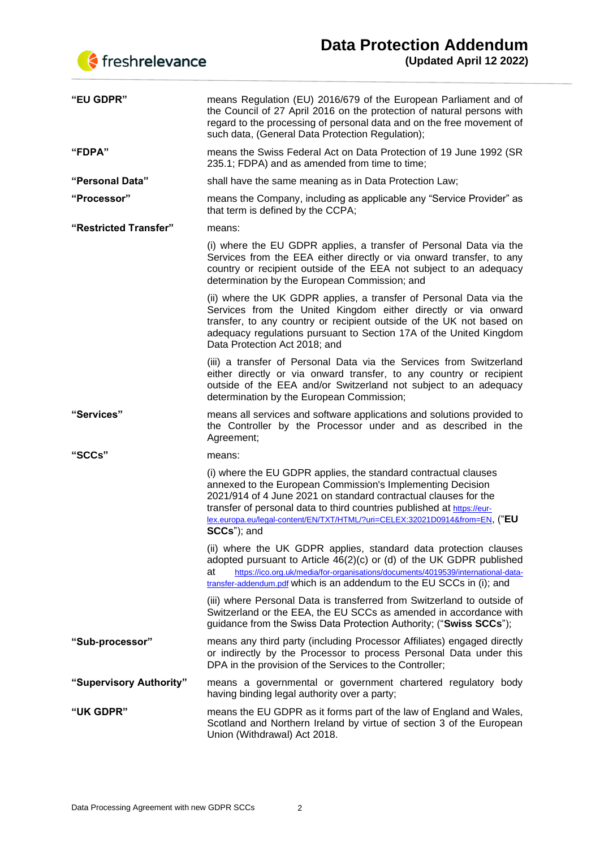



| "EU GDPR"               | means Regulation (EU) 2016/679 of the European Parliament and of<br>the Council of 27 April 2016 on the protection of natural persons with<br>regard to the processing of personal data and on the free movement of<br>such data, (General Data Protection Regulation);                                                                                                  |
|-------------------------|--------------------------------------------------------------------------------------------------------------------------------------------------------------------------------------------------------------------------------------------------------------------------------------------------------------------------------------------------------------------------|
| "FDPA"                  | means the Swiss Federal Act on Data Protection of 19 June 1992 (SR<br>235.1; FDPA) and as amended from time to time;                                                                                                                                                                                                                                                     |
| "Personal Data"         | shall have the same meaning as in Data Protection Law;                                                                                                                                                                                                                                                                                                                   |
| "Processor"             | means the Company, including as applicable any "Service Provider" as<br>that term is defined by the CCPA;                                                                                                                                                                                                                                                                |
| "Restricted Transfer"   | means:                                                                                                                                                                                                                                                                                                                                                                   |
|                         | (i) where the EU GDPR applies, a transfer of Personal Data via the<br>Services from the EEA either directly or via onward transfer, to any<br>country or recipient outside of the EEA not subject to an adequacy<br>determination by the European Commission; and                                                                                                        |
|                         | (ii) where the UK GDPR applies, a transfer of Personal Data via the<br>Services from the United Kingdom either directly or via onward<br>transfer, to any country or recipient outside of the UK not based on<br>adequacy regulations pursuant to Section 17A of the United Kingdom<br>Data Protection Act 2018; and                                                     |
|                         | (iii) a transfer of Personal Data via the Services from Switzerland<br>either directly or via onward transfer, to any country or recipient<br>outside of the EEA and/or Switzerland not subject to an adequacy<br>determination by the European Commission;                                                                                                              |
| "Services"              | means all services and software applications and solutions provided to<br>the Controller by the Processor under and as described in the<br>Agreement;                                                                                                                                                                                                                    |
| "SCCs"                  | means:                                                                                                                                                                                                                                                                                                                                                                   |
|                         | (i) where the EU GDPR applies, the standard contractual clauses<br>annexed to the European Commission's Implementing Decision<br>2021/914 of 4 June 2021 on standard contractual clauses for the<br>transfer of personal data to third countries published at https://eur-<br>lex.europa.eu/legal-content/EN/TXT/HTML/?uri=CELEX:32021D0914&from=EN, ("EU<br>SCCs"); and |
|                         | (ii) where the UK GDPR applies, standard data protection clauses<br>adopted pursuant to Article $46(2)(c)$ or (d) of the UK GDPR published<br>https://ico.org.uk/media/for-organisations/documents/4019539/international-data-<br>at<br>transfer-addendum.pdf which is an addendum to the EU SCCs in (i); and                                                            |
|                         | (iii) where Personal Data is transferred from Switzerland to outside of<br>Switzerland or the EEA, the EU SCCs as amended in accordance with<br>guidance from the Swiss Data Protection Authority; ("Swiss SCCs");                                                                                                                                                       |
| "Sub-processor"         | means any third party (including Processor Affiliates) engaged directly<br>or indirectly by the Processor to process Personal Data under this<br>DPA in the provision of the Services to the Controller;                                                                                                                                                                 |
| "Supervisory Authority" | means a governmental or government chartered regulatory body<br>having binding legal authority over a party;                                                                                                                                                                                                                                                             |
| "UK GDPR"               | means the EU GDPR as it forms part of the law of England and Wales,<br>Scotland and Northern Ireland by virtue of section 3 of the European<br>Union (Withdrawal) Act 2018.                                                                                                                                                                                              |
|                         |                                                                                                                                                                                                                                                                                                                                                                          |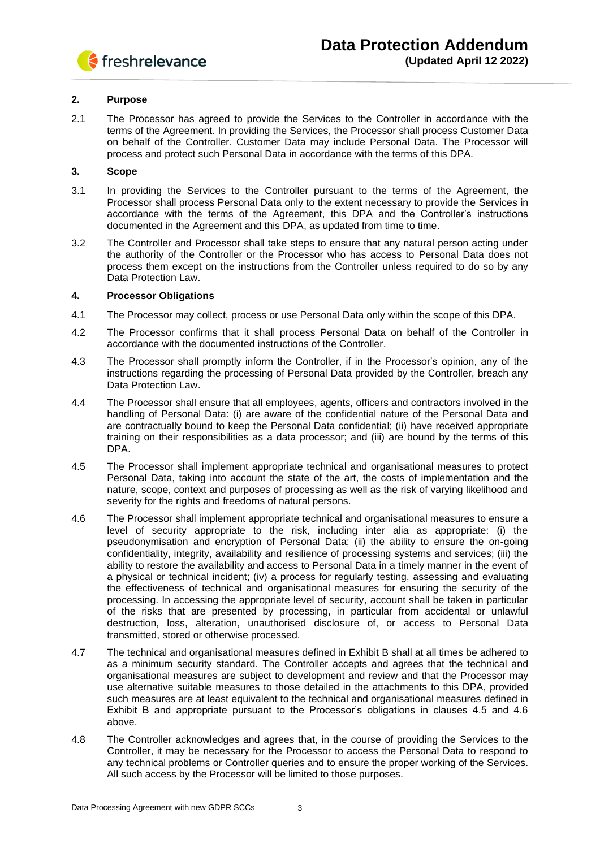

## **2. Purpose**

2.1 The Processor has agreed to provide the Services to the Controller in accordance with the terms of the Agreement. In providing the Services, the Processor shall process Customer Data on behalf of the Controller. Customer Data may include Personal Data. The Processor will process and protect such Personal Data in accordance with the terms of this DPA.

## **3. Scope**

- 3.1 In providing the Services to the Controller pursuant to the terms of the Agreement, the Processor shall process Personal Data only to the extent necessary to provide the Services in accordance with the terms of the Agreement, this DPA and the Controller's instructions documented in the Agreement and this DPA, as updated from time to time.
- 3.2 The Controller and Processor shall take steps to ensure that any natural person acting under the authority of the Controller or the Processor who has access to Personal Data does not process them except on the instructions from the Controller unless required to do so by any Data Protection Law.

## **4. Processor Obligations**

- 4.1 The Processor may collect, process or use Personal Data only within the scope of this DPA.
- 4.2 The Processor confirms that it shall process Personal Data on behalf of the Controller in accordance with the documented instructions of the Controller.
- 4.3 The Processor shall promptly inform the Controller, if in the Processor's opinion, any of the instructions regarding the processing of Personal Data provided by the Controller, breach any Data Protection Law.
- 4.4 The Processor shall ensure that all employees, agents, officers and contractors involved in the handling of Personal Data: (i) are aware of the confidential nature of the Personal Data and are contractually bound to keep the Personal Data confidential; (ii) have received appropriate training on their responsibilities as a data processor; and (iii) are bound by the terms of this DPA.
- 4.5 The Processor shall implement appropriate technical and organisational measures to protect Personal Data, taking into account the state of the art, the costs of implementation and the nature, scope, context and purposes of processing as well as the risk of varying likelihood and severity for the rights and freedoms of natural persons.
- 4.6 The Processor shall implement appropriate technical and organisational measures to ensure a level of security appropriate to the risk, including inter alia as appropriate: (i) the pseudonymisation and encryption of Personal Data; (ii) the ability to ensure the on-going confidentiality, integrity, availability and resilience of processing systems and services; (iii) the ability to restore the availability and access to Personal Data in a timely manner in the event of a physical or technical incident; (iv) a process for regularly testing, assessing and evaluating the effectiveness of technical and organisational measures for ensuring the security of the processing. In accessing the appropriate level of security, account shall be taken in particular of the risks that are presented by processing, in particular from accidental or unlawful destruction, loss, alteration, unauthorised disclosure of, or access to Personal Data transmitted, stored or otherwise processed.
- 4.7 The technical and organisational measures defined in Exhibit B shall at all times be adhered to as a minimum security standard. The Controller accepts and agrees that the technical and organisational measures are subject to development and review and that the Processor may use alternative suitable measures to those detailed in the attachments to this DPA, provided such measures are at least equivalent to the technical and organisational measures defined in Exhibit B and appropriate pursuant to the Processor's obligations in clauses 4.5 and 4.6 above.
- 4.8 The Controller acknowledges and agrees that, in the course of providing the Services to the Controller, it may be necessary for the Processor to access the Personal Data to respond to any technical problems or Controller queries and to ensure the proper working of the Services. All such access by the Processor will be limited to those purposes.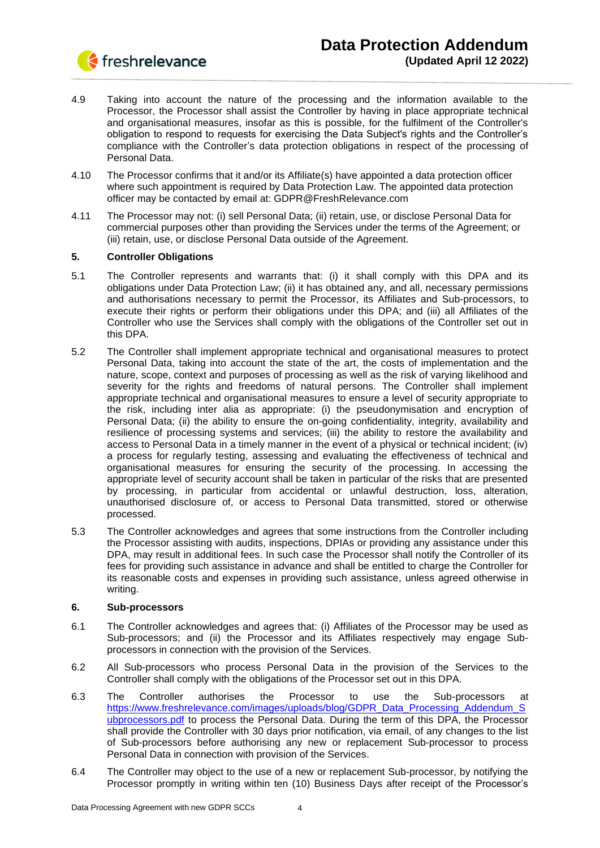

- 4.9 Taking into account the nature of the processing and the information available to the Processor, the Processor shall assist the Controller by having in place appropriate technical and organisational measures, insofar as this is possible, for the fulfilment of the Controller's obligation to respond to requests for exercising the Data Subject's rights and the Controller's compliance with the Controller's data protection obligations in respect of the processing of Personal Data.
- 4.10 The Processor confirms that it and/or its Affiliate(s) have appointed a data protection officer where such appointment is required by Data Protection Law. The appointed data protection officer may be contacted by email at: GDPR@FreshRelevance.com
- 4.11 The Processor may not: (i) sell Personal Data; (ii) retain, use, or disclose Personal Data for commercial purposes other than providing the Services under the terms of the Agreement; or (iii) retain, use, or disclose Personal Data outside of the Agreement.

## **5. Controller Obligations**

- 5.1 The Controller represents and warrants that: (i) it shall comply with this DPA and its obligations under Data Protection Law; (ii) it has obtained any, and all, necessary permissions and authorisations necessary to permit the Processor, its Affiliates and Sub-processors, to execute their rights or perform their obligations under this DPA; and (iii) all Affiliates of the Controller who use the Services shall comply with the obligations of the Controller set out in this DPA.
- 5.2 The Controller shall implement appropriate technical and organisational measures to protect Personal Data, taking into account the state of the art, the costs of implementation and the nature, scope, context and purposes of processing as well as the risk of varying likelihood and severity for the rights and freedoms of natural persons. The Controller shall implement appropriate technical and organisational measures to ensure a level of security appropriate to the risk, including inter alia as appropriate: (i) the pseudonymisation and encryption of Personal Data; (ii) the ability to ensure the on-going confidentiality, integrity, availability and resilience of processing systems and services; (iii) the ability to restore the availability and access to Personal Data in a timely manner in the event of a physical or technical incident; (iv) a process for regularly testing, assessing and evaluating the effectiveness of technical and organisational measures for ensuring the security of the processing. In accessing the appropriate level of security account shall be taken in particular of the risks that are presented by processing, in particular from accidental or unlawful destruction, loss, alteration, unauthorised disclosure of, or access to Personal Data transmitted, stored or otherwise processed.
- 5.3 The Controller acknowledges and agrees that some instructions from the Controller including the Processor assisting with audits, inspections, DPIAs or providing any assistance under this DPA, may result in additional fees. In such case the Processor shall notify the Controller of its fees for providing such assistance in advance and shall be entitled to charge the Controller for its reasonable costs and expenses in providing such assistance, unless agreed otherwise in writing.

## **6. Sub-processors**

- 6.1 The Controller acknowledges and agrees that: (i) Affiliates of the Processor may be used as Sub-processors; and (ii) the Processor and its Affiliates respectively may engage Subprocessors in connection with the provision of the Services.
- 6.2 All Sub-processors who process Personal Data in the provision of the Services to the Controller shall comply with the obligations of the Processor set out in this DPA.
- 6.3 The Controller authorises the Processor to use the Sub-processors at [https://www.freshrelevance.com/images/uploads/blog/GDPR\\_Data\\_Processing\\_Addendum\\_S](https://www.freshrelevance.com/images/uploads/blog/GDPR_Data_Processing_Addendum_Subprocessors.pdf) [ubprocessors.pdf](https://www.freshrelevance.com/images/uploads/blog/GDPR_Data_Processing_Addendum_Subprocessors.pdf) to process the Personal Data. During the term of this DPA, the Processor shall provide the Controller with 30 days prior notification, via email, of any changes to the list of Sub-processors before authorising any new or replacement Sub-processor to process Personal Data in connection with provision of the Services.
- 6.4 The Controller may object to the use of a new or replacement Sub-processor, by notifying the Processor promptly in writing within ten (10) Business Days after receipt of the Processor's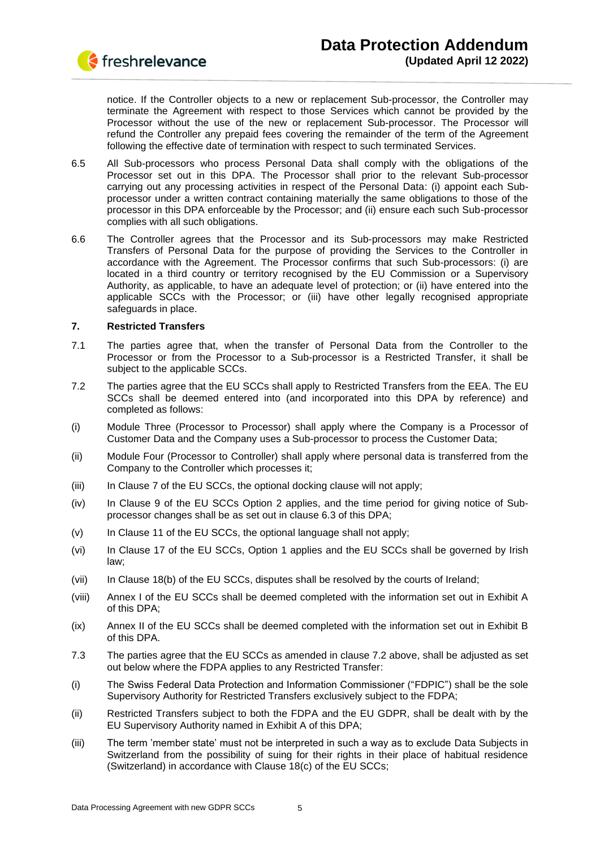

notice. If the Controller objects to a new or replacement Sub-processor, the Controller may terminate the Agreement with respect to those Services which cannot be provided by the Processor without the use of the new or replacement Sub-processor. The Processor will refund the Controller any prepaid fees covering the remainder of the term of the Agreement following the effective date of termination with respect to such terminated Services.

- 6.5 All Sub-processors who process Personal Data shall comply with the obligations of the Processor set out in this DPA. The Processor shall prior to the relevant Sub-processor carrying out any processing activities in respect of the Personal Data: (i) appoint each Subprocessor under a written contract containing materially the same obligations to those of the processor in this DPA enforceable by the Processor; and (ii) ensure each such Sub-processor complies with all such obligations.
- 6.6 The Controller agrees that the Processor and its Sub-processors may make Restricted Transfers of Personal Data for the purpose of providing the Services to the Controller in accordance with the Agreement. The Processor confirms that such Sub-processors: (i) are located in a third country or territory recognised by the EU Commission or a Supervisory Authority, as applicable, to have an adequate level of protection; or (ii) have entered into the applicable SCCs with the Processor; or (iii) have other legally recognised appropriate safeguards in place.

## **7. Restricted Transfers**

- 7.1 The parties agree that, when the transfer of Personal Data from the Controller to the Processor or from the Processor to a Sub-processor is a Restricted Transfer, it shall be subject to the applicable SCCs.
- 7.2 The parties agree that the EU SCCs shall apply to Restricted Transfers from the EEA. The EU SCCs shall be deemed entered into (and incorporated into this DPA by reference) and completed as follows:
- (i) Module Three (Processor to Processor) shall apply where the Company is a Processor of Customer Data and the Company uses a Sub-processor to process the Customer Data;
- (ii) Module Four (Processor to Controller) shall apply where personal data is transferred from the Company to the Controller which processes it;
- (iii) In Clause 7 of the EU SCCs, the optional docking clause will not apply;
- (iv) In Clause 9 of the EU SCCs Option 2 applies, and the time period for giving notice of Subprocessor changes shall be as set out in clause 6.3 of this DPA;
- (v) In Clause 11 of the EU SCCs, the optional language shall not apply;
- (vi) In Clause 17 of the EU SCCs, Option 1 applies and the EU SCCs shall be governed by Irish law;
- (vii) In Clause 18(b) of the EU SCCs, disputes shall be resolved by the courts of Ireland;
- (viii) Annex I of the EU SCCs shall be deemed completed with the information set out in Exhibit A of this DPA;
- (ix) Annex II of the EU SCCs shall be deemed completed with the information set out in Exhibit B of this DPA.
- 7.3 The parties agree that the EU SCCs as amended in clause 7.2 above, shall be adjusted as set out below where the FDPA applies to any Restricted Transfer:
- (i) The Swiss Federal Data Protection and Information Commissioner ("FDPIC") shall be the sole Supervisory Authority for Restricted Transfers exclusively subject to the FDPA;
- (ii) Restricted Transfers subject to both the FDPA and the EU GDPR, shall be dealt with by the EU Supervisory Authority named in Exhibit A of this DPA;
- (iii) The term 'member state' must not be interpreted in such a way as to exclude Data Subjects in Switzerland from the possibility of suing for their rights in their place of habitual residence (Switzerland) in accordance with Clause 18(c) of the EU SCCs;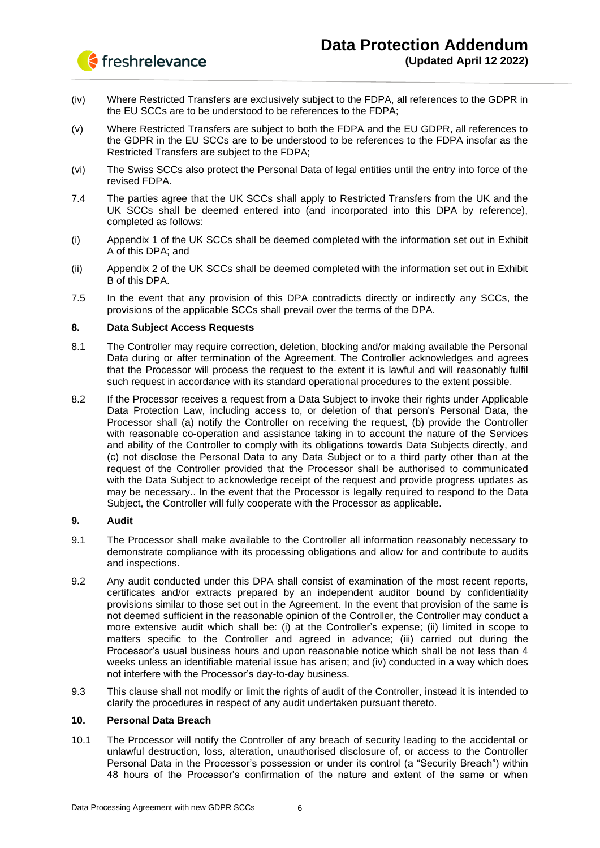

- (iv) Where Restricted Transfers are exclusively subject to the FDPA, all references to the GDPR in the EU SCCs are to be understood to be references to the FDPA;
- (v) Where Restricted Transfers are subject to both the FDPA and the EU GDPR, all references to the GDPR in the EU SCCs are to be understood to be references to the FDPA insofar as the Restricted Transfers are subject to the FDPA;
- (vi) The Swiss SCCs also protect the Personal Data of legal entities until the entry into force of the revised FDPA.
- 7.4 The parties agree that the UK SCCs shall apply to Restricted Transfers from the UK and the UK SCCs shall be deemed entered into (and incorporated into this DPA by reference), completed as follows:
- (i) Appendix 1 of the UK SCCs shall be deemed completed with the information set out in Exhibit A of this DPA; and
- (ii) Appendix 2 of the UK SCCs shall be deemed completed with the information set out in Exhibit B of this DPA.
- 7.5 In the event that any provision of this DPA contradicts directly or indirectly any SCCs, the provisions of the applicable SCCs shall prevail over the terms of the DPA.

## **8. Data Subject Access Requests**

- 8.1 The Controller may require correction, deletion, blocking and/or making available the Personal Data during or after termination of the Agreement. The Controller acknowledges and agrees that the Processor will process the request to the extent it is lawful and will reasonably fulfil such request in accordance with its standard operational procedures to the extent possible.
- 8.2 If the Processor receives a request from a Data Subject to invoke their rights under Applicable Data Protection Law, including access to, or deletion of that person's Personal Data, the Processor shall (a) notify the Controller on receiving the request, (b) provide the Controller with reasonable co-operation and assistance taking in to account the nature of the Services and ability of the Controller to comply with its obligations towards Data Subjects directly, and (c) not disclose the Personal Data to any Data Subject or to a third party other than at the request of the Controller provided that the Processor shall be authorised to communicated with the Data Subject to acknowledge receipt of the request and provide progress updates as may be necessary.. In the event that the Processor is legally required to respond to the Data Subject, the Controller will fully cooperate with the Processor as applicable.

## **9. Audit**

- 9.1 The Processor shall make available to the Controller all information reasonably necessary to demonstrate compliance with its processing obligations and allow for and contribute to audits and inspections.
- 9.2 Any audit conducted under this DPA shall consist of examination of the most recent reports, certificates and/or extracts prepared by an independent auditor bound by confidentiality provisions similar to those set out in the Agreement. In the event that provision of the same is not deemed sufficient in the reasonable opinion of the Controller, the Controller may conduct a more extensive audit which shall be: (i) at the Controller's expense; (ii) limited in scope to matters specific to the Controller and agreed in advance; (iii) carried out during the Processor's usual business hours and upon reasonable notice which shall be not less than 4 weeks unless an identifiable material issue has arisen; and (iv) conducted in a way which does not interfere with the Processor's day-to-day business.
- 9.3 This clause shall not modify or limit the rights of audit of the Controller, instead it is intended to clarify the procedures in respect of any audit undertaken pursuant thereto.

## **10. Personal Data Breach**

10.1 The Processor will notify the Controller of any breach of security leading to the accidental or unlawful destruction, loss, alteration, unauthorised disclosure of, or access to the Controller Personal Data in the Processor's possession or under its control (a "Security Breach") within 48 hours of the Processor's confirmation of the nature and extent of the same or when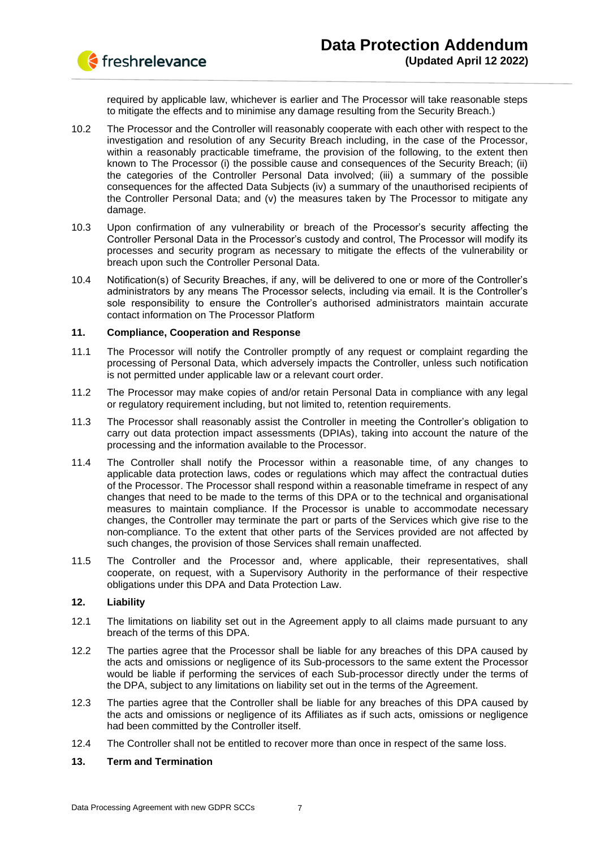

required by applicable law, whichever is earlier and The Processor will take reasonable steps to mitigate the effects and to minimise any damage resulting from the Security Breach.)

- 10.2 The Processor and the Controller will reasonably cooperate with each other with respect to the investigation and resolution of any Security Breach including, in the case of the Processor, within a reasonably practicable timeframe, the provision of the following, to the extent then known to The Processor (i) the possible cause and consequences of the Security Breach; (ii) the categories of the Controller Personal Data involved; (iii) a summary of the possible consequences for the affected Data Subjects (iv) a summary of the unauthorised recipients of the Controller Personal Data; and (v) the measures taken by The Processor to mitigate any damage.
- 10.3 Upon confirmation of any vulnerability or breach of the Processor's security affecting the Controller Personal Data in the Processor's custody and control, The Processor will modify its processes and security program as necessary to mitigate the effects of the vulnerability or breach upon such the Controller Personal Data.
- 10.4 Notification(s) of Security Breaches, if any, will be delivered to one or more of the Controller's administrators by any means The Processor selects, including via email. It is the Controller's sole responsibility to ensure the Controller's authorised administrators maintain accurate contact information on The Processor Platform

## **11. Compliance, Cooperation and Response**

- 11.1 The Processor will notify the Controller promptly of any request or complaint regarding the processing of Personal Data, which adversely impacts the Controller, unless such notification is not permitted under applicable law or a relevant court order.
- 11.2 The Processor may make copies of and/or retain Personal Data in compliance with any legal or regulatory requirement including, but not limited to, retention requirements.
- 11.3 The Processor shall reasonably assist the Controller in meeting the Controller's obligation to carry out data protection impact assessments (DPIAs), taking into account the nature of the processing and the information available to the Processor.
- 11.4 The Controller shall notify the Processor within a reasonable time, of any changes to applicable data protection laws, codes or regulations which may affect the contractual duties of the Processor. The Processor shall respond within a reasonable timeframe in respect of any changes that need to be made to the terms of this DPA or to the technical and organisational measures to maintain compliance. If the Processor is unable to accommodate necessary changes, the Controller may terminate the part or parts of the Services which give rise to the non-compliance. To the extent that other parts of the Services provided are not affected by such changes, the provision of those Services shall remain unaffected.
- 11.5 The Controller and the Processor and, where applicable, their representatives, shall cooperate, on request, with a Supervisory Authority in the performance of their respective obligations under this DPA and Data Protection Law.

## **12. Liability**

- 12.1 The limitations on liability set out in the Agreement apply to all claims made pursuant to any breach of the terms of this DPA.
- 12.2 The parties agree that the Processor shall be liable for any breaches of this DPA caused by the acts and omissions or negligence of its Sub-processors to the same extent the Processor would be liable if performing the services of each Sub-processor directly under the terms of the DPA, subject to any limitations on liability set out in the terms of the Agreement.
- 12.3 The parties agree that the Controller shall be liable for any breaches of this DPA caused by the acts and omissions or negligence of its Affiliates as if such acts, omissions or negligence had been committed by the Controller itself.
- 12.4 The Controller shall not be entitled to recover more than once in respect of the same loss.

## **13. Term and Termination**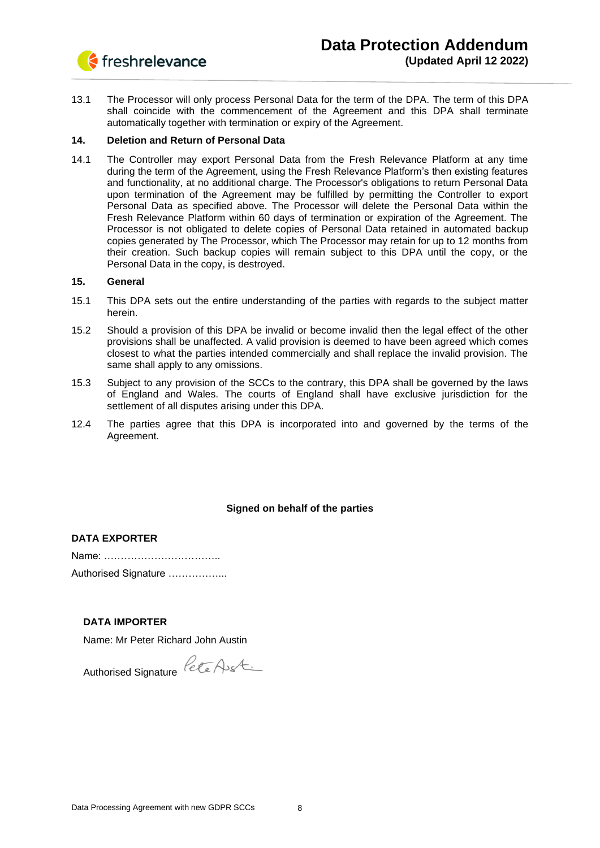

13.1 The Processor will only process Personal Data for the term of the DPA. The term of this DPA shall coincide with the commencement of the Agreement and this DPA shall terminate automatically together with termination or expiry of the Agreement.

## **14. Deletion and Return of Personal Data**

14.1 The Controller may export Personal Data from the Fresh Relevance Platform at any time during the term of the Agreement, using the Fresh Relevance Platform's then existing features and functionality, at no additional charge. The Processor's obligations to return Personal Data upon termination of the Agreement may be fulfilled by permitting the Controller to export Personal Data as specified above. The Processor will delete the Personal Data within the Fresh Relevance Platform within 60 days of termination or expiration of the Agreement. The Processor is not obligated to delete copies of Personal Data retained in automated backup copies generated by The Processor, which The Processor may retain for up to 12 months from their creation. Such backup copies will remain subject to this DPA until the copy, or the Personal Data in the copy, is destroyed.

## **15. General**

- 15.1 This DPA sets out the entire understanding of the parties with regards to the subject matter herein.
- 15.2 Should a provision of this DPA be invalid or become invalid then the legal effect of the other provisions shall be unaffected. A valid provision is deemed to have been agreed which comes closest to what the parties intended commercially and shall replace the invalid provision. The same shall apply to any omissions.
- 15.3 Subject to any provision of the SCCs to the contrary, this DPA shall be governed by the laws of England and Wales. The courts of England shall have exclusive jurisdiction for the settlement of all disputes arising under this DPA.
- 12.4 The parties agree that this DPA is incorporated into and governed by the terms of the Agreement.

## **Signed on behalf of the parties**

## **DATA EXPORTER**

| Authorised Signature |
|----------------------|

## **DATA IMPORTER**

Name: Mr Peter Richard John Austin

Authorised Signature Pete Aust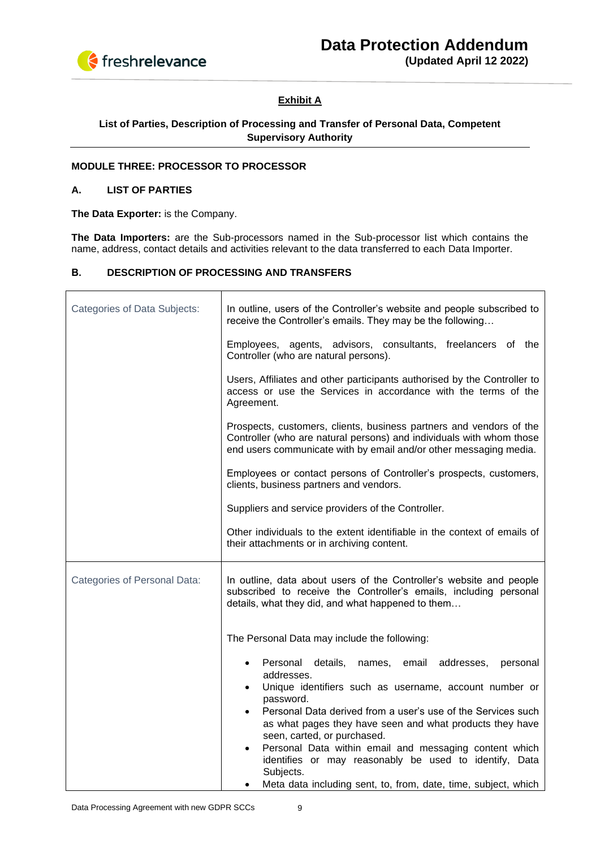

# **Exhibit A**

## **List of Parties, Description of Processing and Transfer of Personal Data, Competent Supervisory Authority**

## **MODULE THREE: PROCESSOR TO PROCESSOR**

## **A. LIST OF PARTIES**

**The Data Exporter:** is the Company.

**The Data Importers:** are the Sub-processors named in the Sub-processor list which contains the name, address, contact details and activities relevant to the data transferred to each Data Importer.

## **В. DESCRIPTION OF PROCESSING AND TRANSFERS**

| <b>Categories of Data Subjects:</b> | In outline, users of the Controller's website and people subscribed to<br>receive the Controller's emails. They may be the following                                                                                                                                                                                                                                                                                                                                                                                                                     |
|-------------------------------------|----------------------------------------------------------------------------------------------------------------------------------------------------------------------------------------------------------------------------------------------------------------------------------------------------------------------------------------------------------------------------------------------------------------------------------------------------------------------------------------------------------------------------------------------------------|
|                                     | Employees, agents, advisors, consultants, freelancers of the<br>Controller (who are natural persons).                                                                                                                                                                                                                                                                                                                                                                                                                                                    |
|                                     | Users, Affiliates and other participants authorised by the Controller to<br>access or use the Services in accordance with the terms of the<br>Agreement.                                                                                                                                                                                                                                                                                                                                                                                                 |
|                                     | Prospects, customers, clients, business partners and vendors of the<br>Controller (who are natural persons) and individuals with whom those<br>end users communicate with by email and/or other messaging media.                                                                                                                                                                                                                                                                                                                                         |
|                                     | Employees or contact persons of Controller's prospects, customers,<br>clients, business partners and vendors.                                                                                                                                                                                                                                                                                                                                                                                                                                            |
|                                     | Suppliers and service providers of the Controller.                                                                                                                                                                                                                                                                                                                                                                                                                                                                                                       |
|                                     | Other individuals to the extent identifiable in the context of emails of<br>their attachments or in archiving content.                                                                                                                                                                                                                                                                                                                                                                                                                                   |
| Categories of Personal Data:        | In outline, data about users of the Controller's website and people<br>subscribed to receive the Controller's emails, including personal<br>details, what they did, and what happened to them                                                                                                                                                                                                                                                                                                                                                            |
|                                     | The Personal Data may include the following:                                                                                                                                                                                                                                                                                                                                                                                                                                                                                                             |
|                                     | Personal details,<br>names,<br>email<br>addresses,<br>personal<br>$\bullet$<br>addresses.<br>Unique identifiers such as username, account number or<br>$\bullet$<br>password.<br>Personal Data derived from a user's use of the Services such<br>as what pages they have seen and what products they have<br>seen, carted, or purchased.<br>Personal Data within email and messaging content which<br>$\bullet$<br>identifies or may reasonably be used to identify, Data<br>Subjects.<br>Meta data including sent, to, from, date, time, subject, which |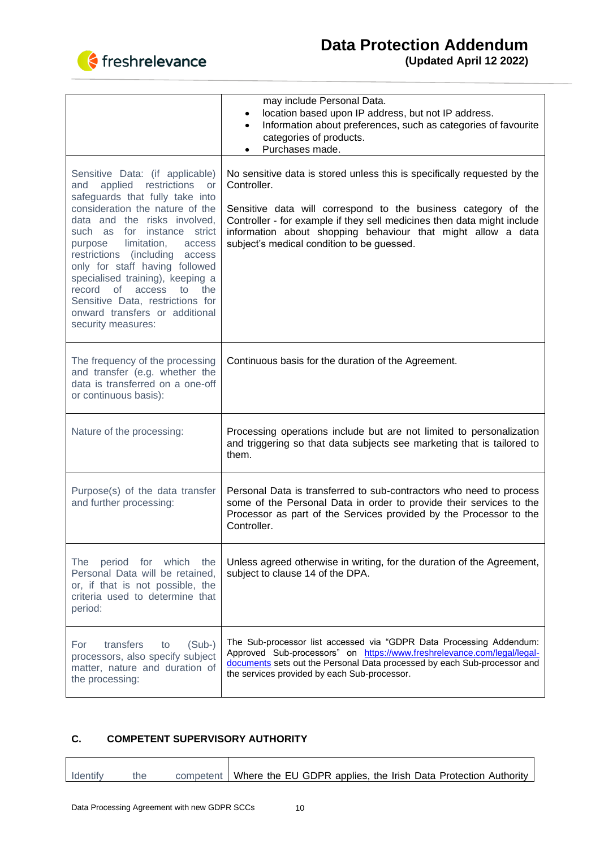

|                                                                                                                                                                                                                                                                                                                                                                                                                                                                                    | may include Personal Data.<br>location based upon IP address, but not IP address.<br>Information about preferences, such as categories of favourite<br>categories of products.<br>Purchases made.                                                                                                                                                  |
|------------------------------------------------------------------------------------------------------------------------------------------------------------------------------------------------------------------------------------------------------------------------------------------------------------------------------------------------------------------------------------------------------------------------------------------------------------------------------------|----------------------------------------------------------------------------------------------------------------------------------------------------------------------------------------------------------------------------------------------------------------------------------------------------------------------------------------------------|
| Sensitive Data: (if applicable)<br>applied restrictions<br>and<br>or<br>safeguards that fully take into<br>consideration the nature of the<br>data and the risks involved,<br>such as for instance strict<br>limitation,<br>access<br>purpose<br>restrictions (including access<br>only for staff having followed<br>specialised training), keeping a<br>record of<br>access<br>to the<br>Sensitive Data, restrictions for<br>onward transfers or additional<br>security measures: | No sensitive data is stored unless this is specifically requested by the<br>Controller.<br>Sensitive data will correspond to the business category of the<br>Controller - for example if they sell medicines then data might include<br>information about shopping behaviour that might allow a data<br>subject's medical condition to be guessed. |
| The frequency of the processing<br>and transfer (e.g. whether the<br>data is transferred on a one-off<br>or continuous basis):                                                                                                                                                                                                                                                                                                                                                     | Continuous basis for the duration of the Agreement.                                                                                                                                                                                                                                                                                                |
| Nature of the processing:                                                                                                                                                                                                                                                                                                                                                                                                                                                          | Processing operations include but are not limited to personalization<br>and triggering so that data subjects see marketing that is tailored to<br>them.                                                                                                                                                                                            |
| Purpose(s) of the data transfer<br>and further processing:                                                                                                                                                                                                                                                                                                                                                                                                                         | Personal Data is transferred to sub-contractors who need to process<br>some of the Personal Data in order to provide their services to the<br>Processor as part of the Services provided by the Processor to the<br>Controller.                                                                                                                    |
| period for which the<br>The<br>Personal Data will be retained,<br>or, if that is not possible, the<br>criteria used to determine that<br>period:                                                                                                                                                                                                                                                                                                                                   | Unless agreed otherwise in writing, for the duration of the Agreement,<br>subject to clause 14 of the DPA.                                                                                                                                                                                                                                         |
| transfers<br>$(Sub-)$<br>For<br>to<br>processors, also specify subject<br>matter, nature and duration of<br>the processing:                                                                                                                                                                                                                                                                                                                                                        | The Sub-processor list accessed via "GDPR Data Processing Addendum:<br>Approved Sub-processors" on https://www.freshrelevance.com/legal/legal-<br>documents sets out the Personal Data processed by each Sub-processor and<br>the services provided by each Sub-processor.                                                                         |

# **C. COMPETENT SUPERVISORY AUTHORITY**

| Identify | the | competent   Where the EU GDPR applies, the Irish Data Protection Authority |
|----------|-----|----------------------------------------------------------------------------|
|          |     |                                                                            |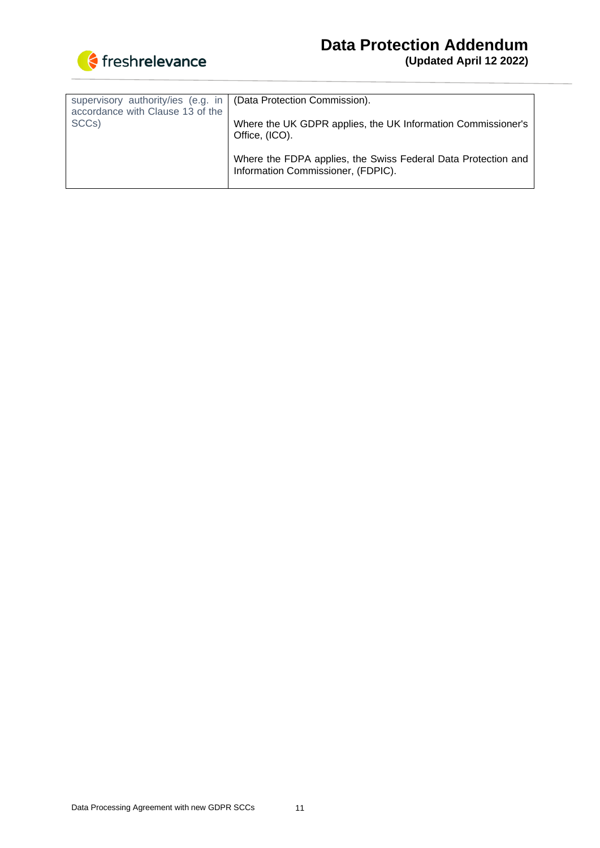

| supervisory authority/ies (e.g. in<br>accordance with Clause 13 of the | (Data Protection Commission).                                                                       |
|------------------------------------------------------------------------|-----------------------------------------------------------------------------------------------------|
| SCC <sub>s</sub> )                                                     | Where the UK GDPR applies, the UK Information Commissioner's<br>Office, (ICO).                      |
|                                                                        | Where the FDPA applies, the Swiss Federal Data Protection and<br>Information Commissioner, (FDPIC). |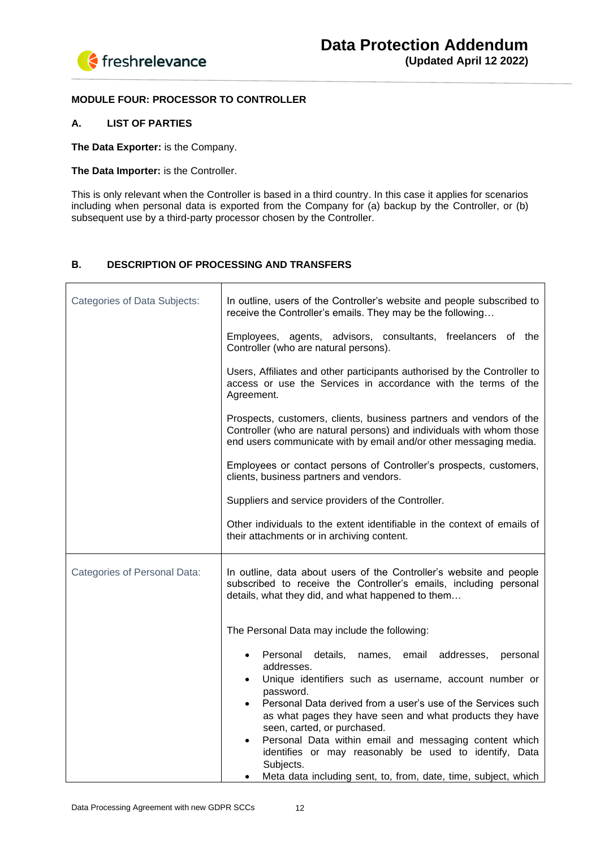

## **MODULE FOUR: PROCESSOR TO CONTROLLER**

## **A. LIST OF PARTIES**

**The Data Exporter:** is the Company.

## **The Data Importer:** is the Controller.

This is only relevant when the Controller is based in a third country. In this case it applies for scenarios including when personal data is exported from the Company for (a) backup by the Controller, or (b) subsequent use by a third-party processor chosen by the Controller.

## **В. DESCRIPTION OF PROCESSING AND TRANSFERS**

| <b>Categories of Data Subjects:</b> | In outline, users of the Controller's website and people subscribed to<br>receive the Controller's emails. They may be the following                                                                                                                                                                                                                                                                                                                                                                                                     |
|-------------------------------------|------------------------------------------------------------------------------------------------------------------------------------------------------------------------------------------------------------------------------------------------------------------------------------------------------------------------------------------------------------------------------------------------------------------------------------------------------------------------------------------------------------------------------------------|
|                                     | Employees, agents, advisors, consultants, freelancers of the<br>Controller (who are natural persons).                                                                                                                                                                                                                                                                                                                                                                                                                                    |
|                                     | Users, Affiliates and other participants authorised by the Controller to<br>access or use the Services in accordance with the terms of the<br>Agreement.                                                                                                                                                                                                                                                                                                                                                                                 |
|                                     | Prospects, customers, clients, business partners and vendors of the<br>Controller (who are natural persons) and individuals with whom those<br>end users communicate with by email and/or other messaging media.                                                                                                                                                                                                                                                                                                                         |
|                                     | Employees or contact persons of Controller's prospects, customers,<br>clients, business partners and vendors.                                                                                                                                                                                                                                                                                                                                                                                                                            |
|                                     | Suppliers and service providers of the Controller.                                                                                                                                                                                                                                                                                                                                                                                                                                                                                       |
|                                     | Other individuals to the extent identifiable in the context of emails of<br>their attachments or in archiving content.                                                                                                                                                                                                                                                                                                                                                                                                                   |
| Categories of Personal Data:        | In outline, data about users of the Controller's website and people<br>subscribed to receive the Controller's emails, including personal<br>details, what they did, and what happened to them                                                                                                                                                                                                                                                                                                                                            |
|                                     | The Personal Data may include the following:                                                                                                                                                                                                                                                                                                                                                                                                                                                                                             |
|                                     | Personal details, names,<br>email<br>addresses,<br>personal<br>$\bullet$<br>addresses.<br>Unique identifiers such as username, account number or<br>$\bullet$<br>password.<br>Personal Data derived from a user's use of the Services such<br>as what pages they have seen and what products they have<br>seen, carted, or purchased.<br>Personal Data within email and messaging content which<br>identifies or may reasonably be used to identify, Data<br>Subjects.<br>Meta data including sent, to, from, date, time, subject, which |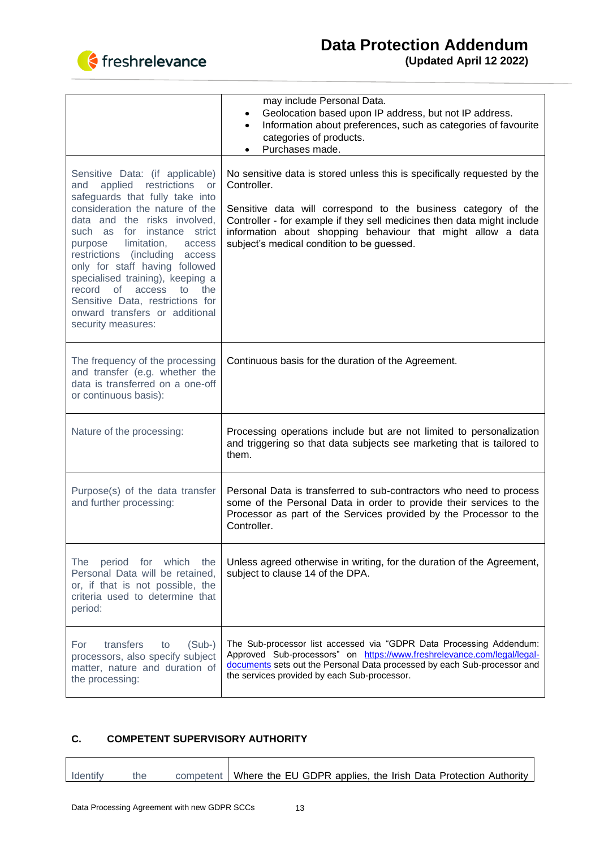

|                                                                                                                                                                                                                                                                                                                                                                                                                                                                                    | may include Personal Data.<br>Geolocation based upon IP address, but not IP address.<br>Information about preferences, such as categories of favourite<br>$\bullet$<br>categories of products.<br>Purchases made.<br>٠                                                                                                                             |
|------------------------------------------------------------------------------------------------------------------------------------------------------------------------------------------------------------------------------------------------------------------------------------------------------------------------------------------------------------------------------------------------------------------------------------------------------------------------------------|----------------------------------------------------------------------------------------------------------------------------------------------------------------------------------------------------------------------------------------------------------------------------------------------------------------------------------------------------|
| Sensitive Data: (if applicable)<br>applied restrictions<br>and<br>or<br>safeguards that fully take into<br>consideration the nature of the<br>data and the risks involved,<br>such as for instance strict<br>limitation,<br>purpose<br>access<br>restrictions (including access<br>only for staff having followed<br>specialised training), keeping a<br>record of<br>access<br>to the<br>Sensitive Data, restrictions for<br>onward transfers or additional<br>security measures: | No sensitive data is stored unless this is specifically requested by the<br>Controller.<br>Sensitive data will correspond to the business category of the<br>Controller - for example if they sell medicines then data might include<br>information about shopping behaviour that might allow a data<br>subject's medical condition to be guessed. |
| The frequency of the processing<br>and transfer (e.g. whether the<br>data is transferred on a one-off<br>or continuous basis):                                                                                                                                                                                                                                                                                                                                                     | Continuous basis for the duration of the Agreement.                                                                                                                                                                                                                                                                                                |
| Nature of the processing:                                                                                                                                                                                                                                                                                                                                                                                                                                                          | Processing operations include but are not limited to personalization<br>and triggering so that data subjects see marketing that is tailored to<br>them.                                                                                                                                                                                            |
| Purpose(s) of the data transfer<br>and further processing:                                                                                                                                                                                                                                                                                                                                                                                                                         | Personal Data is transferred to sub-contractors who need to process<br>some of the Personal Data in order to provide their services to the<br>Processor as part of the Services provided by the Processor to the<br>Controller.                                                                                                                    |
| period for which the<br>The<br>Personal Data will be retained,<br>or, if that is not possible, the<br>criteria used to determine that<br>period:                                                                                                                                                                                                                                                                                                                                   | Unless agreed otherwise in writing, for the duration of the Agreement,<br>subject to clause 14 of the DPA.                                                                                                                                                                                                                                         |
| transfers<br>For<br>$(Sub-)$<br>to<br>processors, also specify subject<br>matter, nature and duration of<br>the processing:                                                                                                                                                                                                                                                                                                                                                        | The Sub-processor list accessed via "GDPR Data Processing Addendum:<br>Approved Sub-processors" on https://www.freshrelevance.com/legal/legal-<br>documents sets out the Personal Data processed by each Sub-processor and<br>the services provided by each Sub-processor.                                                                         |

# **C. COMPETENT SUPERVISORY AUTHORITY**

| Identify | the | competent   Where the EU GDPR applies, the Irish Data Protection Authority |
|----------|-----|----------------------------------------------------------------------------|
|          |     |                                                                            |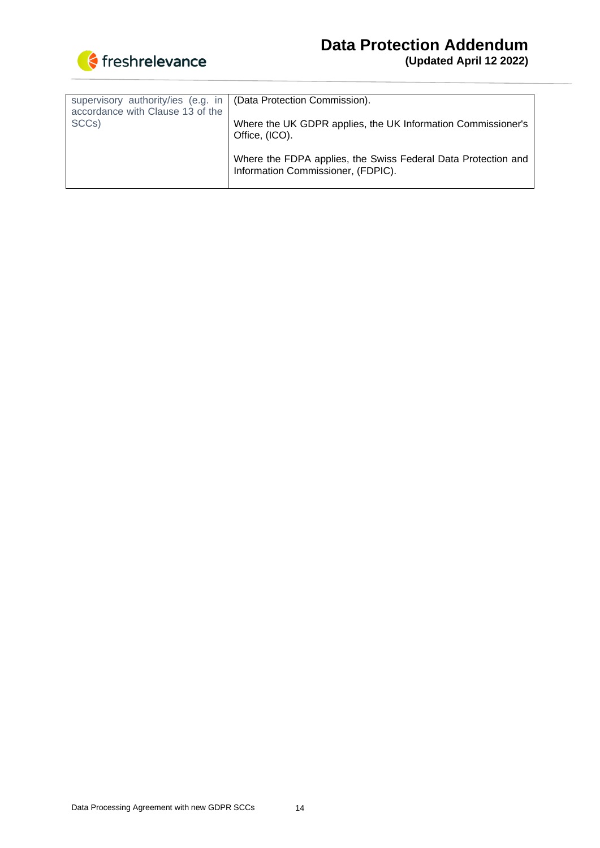

| supervisory authority/ies (e.g. in<br>accordance with Clause 13 of the | (Data Protection Commission).                                                                       |
|------------------------------------------------------------------------|-----------------------------------------------------------------------------------------------------|
| SCC <sub>s</sub> )                                                     | Where the UK GDPR applies, the UK Information Commissioner's<br>Office, (ICO).                      |
|                                                                        | Where the FDPA applies, the Swiss Federal Data Protection and<br>Information Commissioner, (FDPIC). |